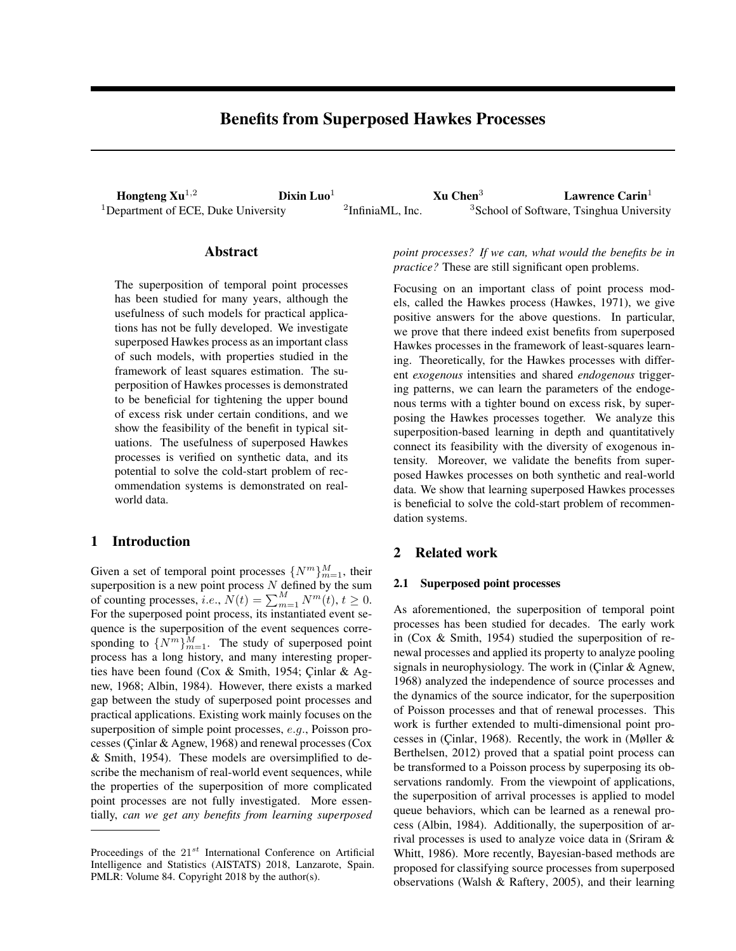# Benefits from Superposed Hawkes Processes

**Hongteng Xu<sup>1,2</sup>** Dixin Luo<sup>1</sup> 2</sup>InfiniaML, Inc. **Xu Chen<sup>3</sup> Lawrence Carin**<sup>1</sup> epartment of ECE, Duke University <sup>2</sup>InfiniaML, Inc. <sup>3</sup>School of Software, Tsinghua University <sup>1</sup>Department of ECE, Duke University

<sup>3</sup>School of Software, Tsinghua University

# Abstract

The superposition of temporal point processes has been studied for many years, although the usefulness of such models for practical applications has not be fully developed. We investigate superposed Hawkes process as an important class of such models, with properties studied in the framework of least squares estimation. The superposition of Hawkes processes is demonstrated to be beneficial for tightening the upper bound of excess risk under certain conditions, and we show the feasibility of the benefit in typical situations. The usefulness of superposed Hawkes processes is verified on synthetic data, and its potential to solve the cold-start problem of recommendation systems is demonstrated on realworld data.

# 1 Introduction

Given a set of temporal point processes  $\{N^m\}_{m=1}^M$ , their superposition is a new point process  $N$  defined by the sum of counting processes, *i.e.*,  $\dot{N}(t) = \sum_{m=1}^{M} N^m(t)$ ,  $t \ge 0$ . For the superposed point process, its instantiated event sequence is the superposition of the event sequences corresponding to  ${N^m}_{m=1}^M$ . The study of superposed point process has a long history, and many interesting properties have been found (Cox & Smith, 1954; Cinlar & Agnew, 1968; Albin, 1984). However, there exists a marked gap between the study of superposed point processes and practical applications. Existing work mainly focuses on the superposition of simple point processes, e.g., Poisson processes (Çinlar & Agnew, 1968) and renewal processes (Cox & Smith, 1954). These models are oversimplified to describe the mechanism of real-world event sequences, while the properties of the superposition of more complicated point processes are not fully investigated. More essentially, *can we get any benefits from learning superposed* *point processes? If we can, what would the benefits be in practice?* These are still significant open problems.

Focusing on an important class of point process models, called the Hawkes process (Hawkes, 1971), we give positive answers for the above questions. In particular, we prove that there indeed exist benefits from superposed Hawkes processes in the framework of least-squares learning. Theoretically, for the Hawkes processes with different *exogenous* intensities and shared *endogenous* triggering patterns, we can learn the parameters of the endogenous terms with a tighter bound on excess risk, by superposing the Hawkes processes together. We analyze this superposition-based learning in depth and quantitatively connect its feasibility with the diversity of exogenous intensity. Moreover, we validate the benefits from superposed Hawkes processes on both synthetic and real-world data. We show that learning superposed Hawkes processes is beneficial to solve the cold-start problem of recommendation systems.

### 2 Related work

### 2.1 Superposed point processes

As aforementioned, the superposition of temporal point processes has been studied for decades. The early work in (Cox & Smith, 1954) studied the superposition of renewal processes and applied its property to analyze pooling signals in neurophysiology. The work in (Cinlar & Agnew, 1968) analyzed the independence of source processes and the dynamics of the source indicator, for the superposition of Poisson processes and that of renewal processes. This work is further extended to multi-dimensional point processes in (Cinlar, 1968). Recently, the work in (Møller  $\&$ Berthelsen, 2012) proved that a spatial point process can be transformed to a Poisson process by superposing its observations randomly. From the viewpoint of applications, the superposition of arrival processes is applied to model queue behaviors, which can be learned as a renewal process (Albin, 1984). Additionally, the superposition of arrival processes is used to analyze voice data in (Sriram & Whitt, 1986). More recently, Bayesian-based methods are proposed for classifying source processes from superposed observations (Walsh & Raftery, 2005), and their learning

Proceedings of the  $21^{st}$  International Conference on Artificial Intelligence and Statistics (AISTATS) 2018, Lanzarote, Spain. PMLR: Volume 84. Copyright 2018 by the author(s).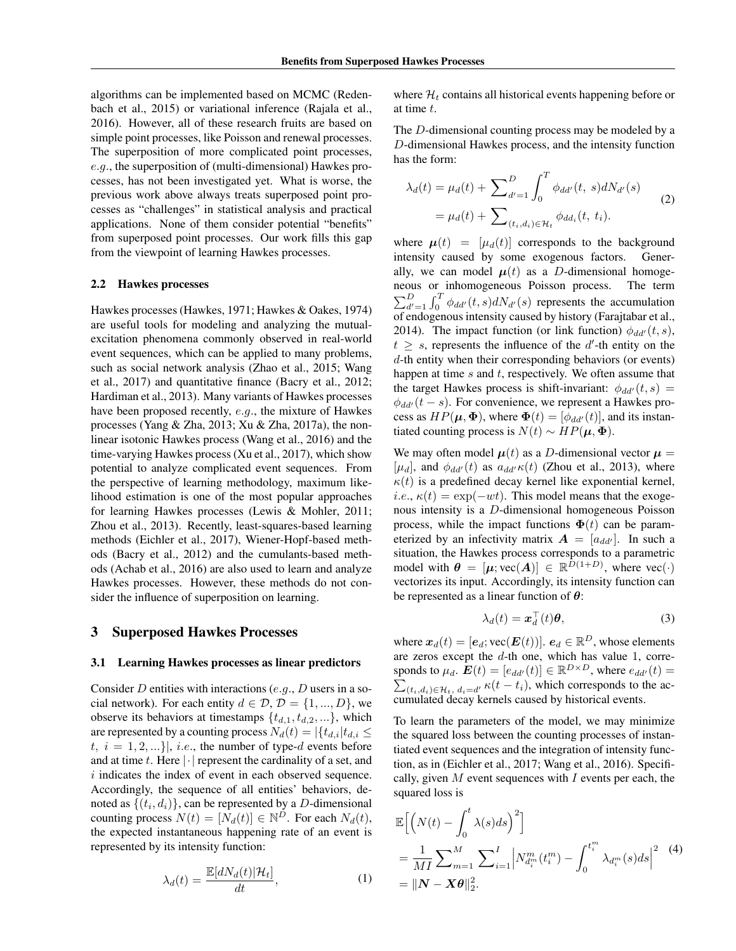algorithms can be implemented based on MCMC (Redenbach et al., 2015) or variational inference (Rajala et al., 2016). However, all of these research fruits are based on simple point processes, like Poisson and renewal processes. The superposition of more complicated point processes, e.g., the superposition of (multi-dimensional) Hawkes processes, has not been investigated yet. What is worse, the previous work above always treats superposed point processes as "challenges" in statistical analysis and practical applications. None of them consider potential "benefits" from superposed point processes. Our work fills this gap from the viewpoint of learning Hawkes processes.

#### 2.2 Hawkes processes

Hawkes processes (Hawkes, 1971; Hawkes & Oakes, 1974) are useful tools for modeling and analyzing the mutualexcitation phenomena commonly observed in real-world event sequences, which can be applied to many problems, such as social network analysis (Zhao et al., 2015; Wang et al., 2017) and quantitative finance (Bacry et al., 2012; Hardiman et al., 2013). Many variants of Hawkes processes have been proposed recently, e.g., the mixture of Hawkes processes (Yang & Zha, 2013; Xu & Zha, 2017a), the nonlinear isotonic Hawkes process (Wang et al., 2016) and the time-varying Hawkes process (Xu et al., 2017), which show potential to analyze complicated event sequences. From the perspective of learning methodology, maximum likelihood estimation is one of the most popular approaches for learning Hawkes processes (Lewis & Mohler, 2011; Zhou et al., 2013). Recently, least-squares-based learning methods (Eichler et al., 2017), Wiener-Hopf-based methods (Bacry et al., 2012) and the cumulants-based methods (Achab et al., 2016) are also used to learn and analyze Hawkes processes. However, these methods do not consider the influence of superposition on learning.

### 3 Superposed Hawkes Processes

#### 3.1 Learning Hawkes processes as linear predictors

Consider D entities with interactions (e.g., D users in a social network). For each entity  $d \in \mathcal{D}, \mathcal{D} = \{1, ..., D\}$ , we observe its behaviors at timestamps  $\{t_{d,1}, t_{d,2}, ...\}$ , which are represented by a counting process  $N_d(t) = |\{t_{d,i}|t_{d,i} \leq$  $t, i = 1, 2, \ldots$ , i.e., the number of type-d events before and at time t. Here  $|\cdot|$  represent the cardinality of a set, and i indicates the index of event in each observed sequence. Accordingly, the sequence of all entities' behaviors, denoted as  $\{(t_i, d_i)\}\)$ , can be represented by a D-dimensional counting process  $N(t) = [N_d(t)] \in \mathbb{N}^D$ . For each  $N_d(t)$ , the expected instantaneous happening rate of an event is represented by its intensity function:

$$
\lambda_d(t) = \frac{\mathbb{E}[dN_d(t)|\mathcal{H}_t]}{dt},\tag{1}
$$

where  $\mathcal{H}_t$  contains all historical events happening before or at time t.

The D-dimensional counting process may be modeled by a D-dimensional Hawkes process, and the intensity function has the form:

$$
\lambda_d(t) = \mu_d(t) + \sum_{d'=1}^{D} \int_0^T \phi_{dd'}(t, s) dN_{d'}(s)
$$
  
=  $\mu_d(t) + \sum_{(t_i, d_i) \in \mathcal{H}_t} \phi_{dd_i}(t, t_i).$  (2)

where  $\mu(t) = [\mu_d(t)]$  corresponds to the background intensity caused by some exogenous factors. Generally, we can model  $\mu(t)$  as a *D*-dimensional homogeneous or inhomogeneous Poisson process. The term  $\sum_{d'=1}^{D} \int_0^T \phi_{dd'}(t, s) dN_{d'}(s)$  represents the accumulation of endogenous intensity caused by history (Farajtabar et al., 2014). The impact function (or link function)  $\phi_{dd'}(t, s)$ ,  $t \geq s$ , represents the influence of the d'-th entity on the d-th entity when their corresponding behaviors (or events) happen at time  $s$  and  $t$ , respectively. We often assume that the target Hawkes process is shift-invariant:  $\phi_{dd'}(t, s)$  =  $\phi_{dd'}(t-s)$ . For convenience, we represent a Hawkes process as  $HP(\mu, \Phi)$ , where  $\Phi(t) = [\phi_{dd'}(t)]$ , and its instantiated counting process is  $N(t) \sim HP(\mu, \Phi)$ .

We may often model  $\mu(t)$  as a D-dimensional vector  $\mu =$ [ $\mu_d$ ], and  $\phi_{dd'}(t)$  as  $a_{dd'}\kappa(t)$  (Zhou et al., 2013), where  $\kappa(t)$  is a predefined decay kernel like exponential kernel, *i.e.*,  $\kappa(t) = \exp(-wt)$ . This model means that the exogenous intensity is a D-dimensional homogeneous Poisson process, while the impact functions  $\Phi(t)$  can be parameterized by an infectivity matrix  $\mathbf{A} = [a_{dd'}]$ . In such a situation, the Hawkes process corresponds to a parametric model with  $\theta = [\mu; \text{vec}(A)] \in \mathbb{R}^{D(1+D)}$ , where  $\text{vec}(\cdot)$ vectorizes its input. Accordingly, its intensity function can be represented as a linear function of  $\theta$ :

$$
\lambda_d(t) = \boldsymbol{x}_d^\top(t)\boldsymbol{\theta},\tag{3}
$$

where  $\boldsymbol{x}_d(t) = [\boldsymbol{e}_d; \text{vec}(\boldsymbol{E}(t))]$ .  $\boldsymbol{e}_d \in \mathbb{R}^D$ , whose elements are zeros except the d-th one, which has value 1, corresponds to  $\mu_d$ .  $\mathbf{E}(t) = [e_{dd'}(t)] \in \mathbb{R}^{D \times D}$ , where  $e_{dd'}(t) =$  $\sum_{(t_i,d_i)\in\mathcal{H}_t, d_i=d'} \kappa(t-t_i)$ , which corresponds to the accumulated decay kernels caused by historical events.

To learn the parameters of the model, we may minimize the squared loss between the counting processes of instantiated event sequences and the integration of intensity function, as in (Eichler et al., 2017; Wang et al., 2016). Specifically, given  $M$  event sequences with  $I$  events per each, the squared loss is

$$
\mathbb{E}\Big[\Big(N(t) - \int_0^t \lambda(s)ds\Big)^2\Big]
$$
  
=  $\frac{1}{MI}\sum_{m=1}^M \sum_{i=1}^I \Big|N_{d_i^m}^m(t_i^m) - \int_0^{t_i^m} \lambda_{d_i^m}(s)ds\Big|^2$  (4)  
=  $\|N - X\theta\|_2^2$ .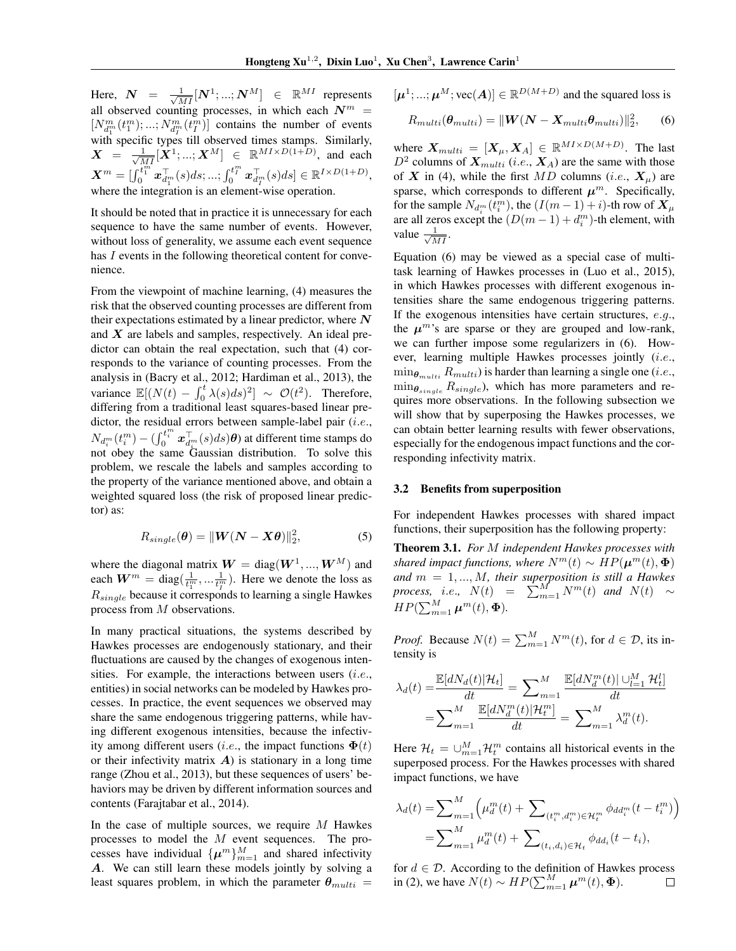Here,  $\boldsymbol{N}$  =  $\frac{1}{\sqrt{M I}}[\boldsymbol{N}^{1};...;\boldsymbol{N}^{M}]$   $\in \mathbb{R}^{M I}$  represents all observed counting processes, in which each  $N^m$  =  $[N_{d_1^m}^m(t_1^m);\ldots;N_{d_1^m}^m(t_1^m)]$  contains the number of events with specific types till observed times stamps. Similarly,  $\boldsymbol{X}$  =  $\frac{1}{\sqrt{MI}}[\boldsymbol{X}^1; ...; \boldsymbol{X}^M]$   $\in \mathbb{R}^{MI \times D(1+D)}$ , and each  $\boldsymbol{X}^m = [\int_0^{\overline{t}_1^m} \boldsymbol{x}_{d_1^m}^\top (s) ds; ...; \int_0^{\overline{t}_1^m} \boldsymbol{x}_{d_T^m}^\top (s) ds] \in \mathbb{R}^{I \times D(1+D)},$ where the integration is an element-wise operation.

It should be noted that in practice it is unnecessary for each sequence to have the same number of events. However, without loss of generality, we assume each event sequence has I events in the following theoretical content for convenience.

From the viewpoint of machine learning, (4) measures the risk that the observed counting processes are different from their expectations estimated by a linear predictor, where  $N$ and  $X$  are labels and samples, respectively. An ideal predictor can obtain the real expectation, such that (4) corresponds to the variance of counting processes. From the analysis in (Bacry et al., 2012; Hardiman et al., 2013), the variance  $\mathbb{E}[(N(t) - \int_0^t \lambda(s)ds)^2] \sim \mathcal{O}(t^2)$ . Therefore, differing from a traditional least squares-based linear predictor, the residual errors between sample-label pair (i.e.,  $N_{d_i^m}(t_i^m) - \left(\int_0^{t_i^m} \boldsymbol{x}_{d_i^m}^\top(s) ds\right) \boldsymbol{\theta}$  at different time stamps do not obey the same Gaussian distribution. To solve this problem, we rescale the labels and samples according to the property of the variance mentioned above, and obtain a weighted squared loss (the risk of proposed linear predictor) as:

$$
R_{single}(\boldsymbol{\theta}) = ||\boldsymbol{W}(\boldsymbol{N} - \boldsymbol{X}\boldsymbol{\theta})||_2^2, \tag{5}
$$

where the diagonal matrix  $W = diag(W^1, ..., W^M)$  and each  $W^m = \text{diag}(\frac{1}{t_1^m}, \dots, \frac{1}{t_l^m})$ . Here we denote the loss as  $R_{single}$  because it corresponds to learning a single Hawkes process from M observations.

In many practical situations, the systems described by Hawkes processes are endogenously stationary, and their fluctuations are caused by the changes of exogenous intensities. For example, the interactions between users  $(i.e.,$ entities) in social networks can be modeled by Hawkes processes. In practice, the event sequences we observed may share the same endogenous triggering patterns, while having different exogenous intensities, because the infectivity among different users (*i.e.*, the impact functions  $\Phi(t)$ or their infectivity matrix  $\bf{A}$ ) is stationary in a long time range (Zhou et al., 2013), but these sequences of users' behaviors may be driven by different information sources and contents (Farajtabar et al., 2014).

In the case of multiple sources, we require  $M$  Hawkes processes to model the M event sequences. The processes have individual  $\{\mu^m\}_{m=1}^M$  and shared infectivity A. We can still learn these models jointly by solving a least squares problem, in which the parameter  $\theta_{multi}$  =

 $[\mu^1; ...; \mu^M; \text{vec}(\bm{A})] \in \mathbb{R}^{D(M+D)}$  and the squared loss is

$$
R_{multi}(\boldsymbol{\theta}_{multi}) = ||\boldsymbol{W}(\boldsymbol{N} - \boldsymbol{X}_{multi}\boldsymbol{\theta}_{multi})||_2^2, \qquad (6)
$$

where  $X_{multi} = [X_{\mu}, X_{A}] \in \mathbb{R}^{MI \times D(M+D)}$ . The last  $D^2$  columns of  $X_{multi}$  (*i.e.*,  $X_A$ ) are the same with those of X in (4), while the first MD columns (i.e.,  $X_{\mu}$ ) are sparse, which corresponds to different  $\mu^m$ . Specifically, for the sample  $N_{d_i^m}(t_i^m)$ , the  $(I(m-1)+i)$ -th row of  $\boldsymbol{X}_{\mu}$ are all zeros except the  $(D(m-1) + d_i^m)$ -th element, with value  $\frac{1}{\sqrt{MI}}$ .

Equation (6) may be viewed as a special case of multitask learning of Hawkes processes in (Luo et al., 2015), in which Hawkes processes with different exogenous intensities share the same endogenous triggering patterns. If the exogenous intensities have certain structures, e.g., the  $\mu^{m}$ 's are sparse or they are grouped and low-rank, we can further impose some regularizers in (6). However, learning multiple Hawkes processes jointly (i.e.,  $\min_{\theta_{multi}} R_{multi}$ ) is harder than learning a single one (*i.e.*,  $\min_{\theta_{single}} R_{single}$ ), which has more parameters and requires more observations. In the following subsection we will show that by superposing the Hawkes processes, we can obtain better learning results with fewer observations, especially for the endogenous impact functions and the corresponding infectivity matrix.

#### 3.2 Benefits from superposition

For independent Hawkes processes with shared impact functions, their superposition has the following property:

Theorem 3.1. *For* M *independent Hawkes processes with shared impact functions, where*  $N^m(t) \sim HP(\mu^m(t), \Phi)$ *and* m = 1, ..., M*, their superposition is still a Hawkes process, i.e.,*  $N(t) = \sum_{m=1}^{M} N^m(t)$  *and*  $N(t) \sim$  $HP(\sum_{m=1}^{M} \boldsymbol{\mu}^m(t), \boldsymbol{\Phi}).$ 

*Proof.* Because  $N(t) = \sum_{m=1}^{M} N^m(t)$ , for  $d \in \mathcal{D}$ , its intensity is

$$
\lambda_d(t) = \frac{\mathbb{E}[dN_d(t)|\mathcal{H}_t]}{dt} = \sum_{m=1}^M \frac{\mathbb{E}[dN_d^m(t)|\cup_{l=1}^M \mathcal{H}_t^l]}{dt}
$$

$$
= \sum_{m=1}^M \frac{\mathbb{E}[dN_d^m(t)|\mathcal{H}_t^m]}{dt} = \sum_{m=1}^M \lambda_d^m(t).
$$

Here  $\mathcal{H}_t = \bigcup_{m=1}^M \mathcal{H}_t^m$  contains all historical events in the superposed process. For the Hawkes processes with shared impact functions, we have

$$
\lambda_d(t) = \sum_{m=1}^M \left( \mu_d^m(t) + \sum_{(t_i^m, d_i^m) \in \mathcal{H}_t^m} \phi_{dd_i^m}(t - t_i^m) \right)
$$
  
= 
$$
\sum_{m=1}^M \mu_d^m(t) + \sum_{(t_i, d_i) \in \mathcal{H}_t} \phi_{dd_i}(t - t_i),
$$

for  $d \in \mathcal{D}$ . According to the definition of Hawkes process in (2), we have  $N(t) \sim HP(\sum_{m=1}^{M} \mu^m(t), \Phi)$ .  $\Box$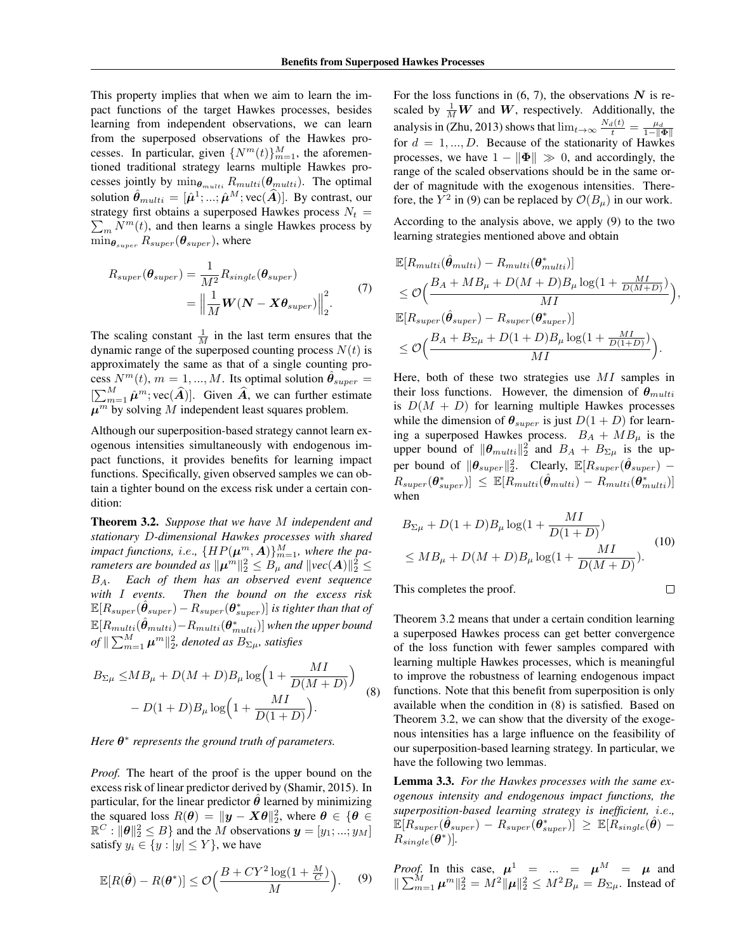This property implies that when we aim to learn the impact functions of the target Hawkes processes, besides learning from independent observations, we can learn from the superposed observations of the Hawkes processes. In particular, given  $\{N^m(t)\}_{m=1}^M$ , the aforementioned traditional strategy learns multiple Hawkes processes jointly by  $\min_{\theta_{multi}} R_{multi}(\theta_{multi})$ . The optimal solution  $\hat{\theta}_{multi} = [\hat{\mu}^1; ...; \hat{\mu}^M; \text{vec}(\hat{A})]$ . By contrast, our strategy first obtains a superposed Hawkes process  $N_t =$  $\sum_{m} N^{m}(t)$ , and then learns a single Hawkes process by  $\min_{\theta_{super}} R_{super}(\theta_{super})$ , where

$$
R_{super}(\theta_{super}) = \frac{1}{M^2} R_{single}(\theta_{super})
$$
  
= 
$$
\left\| \frac{1}{M} \boldsymbol{W} (\boldsymbol{N} - \boldsymbol{X} \theta_{super}) \right\|_2^2.
$$
 (7)

The scaling constant  $\frac{1}{M}$  in the last term ensures that the dynamic range of the superposed counting process  $N(t)$  is approximately the same as that of a single counting process  $N^m(t)$ ,  $m = 1, ..., M$ . Its optimal solution  $\hat{\theta}_{super}$  $[\sum_{m=1}^{M} \hat{\mu}^{m}$ ; vec $(\hat{A})$ . Given  $\hat{A}$ , we can further estimate  $\mu^m$  by solving M independent least squares problem.

Although our superposition-based strategy cannot learn exogenous intensities simultaneously with endogenous impact functions, it provides benefits for learning impact functions. Specifically, given observed samples we can obtain a tighter bound on the excess risk under a certain condition:

Theorem 3.2. *Suppose that we have* M *independent and stationary* D*-dimensional Hawkes processes with shared* impact functions, i.e.,  $\{HP(\boldsymbol{\mu}^m, \boldsymbol{A})\}_{m=1}^M$ , where the pa*rameters are bounded as*  $\|\boldsymbol{\mu}^m\|_2^2 \leq B_{\mu}$  *and*  $\|\textit{vec}(\boldsymbol{A})\|_2^2 \leq$ BA*. Each of them has an observed event sequence with* I *events. Then the bound on the excess risk*  $\mathbb{E}[R_{super}(\hat{\bm{\theta}}_{super})-R_{super}(\bm{\theta}^*_{super})]$  is tighter than that of  $\mathbb{E}[R_{multi}(\hat{\bm{\theta}}_{multi})\!-\!R_{multi}(\bm{\theta}^*_{multi})]$  when the upper bound  $\|o\| \sum_{m=1}^{M} \boldsymbol{\mu}^m \|_2^2$ , denoted as  $B_{\Sigma\mu}$ , satisfies

$$
B_{\Sigma\mu} \le MB_{\mu} + D(M+D)B_{\mu} \log \left( 1 + \frac{MI}{D(M+D)} \right) - D(1+D)B_{\mu} \log \left( 1 + \frac{MI}{D(1+D)} \right).
$$
 (8)

*Here*  $\theta^*$  represents the ground truth of parameters.

*Proof.* The heart of the proof is the upper bound on the excess risk of linear predictor derived by (Shamir, 2015). In particular, for the linear predictor  $\theta$  learned by minimizing the squared loss  $R(\theta) = ||y - X\theta||_2^2$ , where  $\theta \in {\theta \in \mathbb{R}^2}$  $\mathbb{R}^C : ||\boldsymbol{\theta}||_2^2 \leq B$  and the M observations  $\boldsymbol{y} = [y_1; ...; y_M]$ satisfy  $y_i \in \{y : |y| \leq Y\}$ , we have

$$
\mathbb{E}[R(\hat{\boldsymbol{\theta}}) - R(\boldsymbol{\theta}^*)] \le \mathcal{O}\Big(\frac{B + CY^2\log(1 + \frac{M}{C})}{M}\Big). \tag{9}
$$

For the loss functions in  $(6, 7)$ , the observations N is rescaled by  $\frac{1}{M}W$  and W, respectively. Additionally, the analysis in (Zhu, 2013) shows that  $\lim_{t\to\infty} \frac{N_d(t)}{t} = \frac{\mu_d}{1-\|\Phi\|}$ for  $d = 1, ..., D$ . Because of the stationarity of Hawkes processes, we have  $1 - ||\Phi|| \gg 0$ , and accordingly, the range of the scaled observations should be in the same order of magnitude with the exogenous intensities. Therefore, the  $Y^2$  in (9) can be replaced by  $\mathcal{O}(B_\mu)$  in our work.

According to the analysis above, we apply (9) to the two learning strategies mentioned above and obtain

$$
\mathbb{E}[R_{multi}(\hat{\theta}_{multi}) - R_{multi}(\theta_{multi}^*)]
$$
\n
$$
\leq \mathcal{O}\Big(\frac{B_A + MB_\mu + D(M + D)B_\mu \log(1 + \frac{MI}{D(M + D)})}{MI}\Big),
$$
\n
$$
\mathbb{E}[R_{super}(\hat{\theta}_{super}) - R_{super}(\theta_{super}^*)]
$$
\n
$$
\leq \mathcal{O}\Big(\frac{B_A + B_{\Sigma\mu} + D(1 + D)B_\mu \log(1 + \frac{MI}{D(1 + D)})}{MI}\Big).
$$

Here, both of these two strategies use MI samples in their loss functions. However, the dimension of  $\theta_{multi}$ is  $D(M + D)$  for learning multiple Hawkes processes while the dimension of  $\theta_{super}$  is just  $D(1+D)$  for learning a superposed Hawkes process.  $B_A + MB_\mu$  is the upper bound of  $\|\boldsymbol{\theta}_{multi}\|_2^2$  and  $B_A + B_{\Sigma\mu}$  is the upper bound of  $\|\boldsymbol{\theta}_{super}\|_2^2$ . Clearly,  $\mathbb{E}[R_{super}(\hat{\boldsymbol{\theta}}_{super})$  –  $\begin{array}{c} R_{super}(\boldsymbol{\theta}_{super}^{*}) \leq \ \mathbb{E}[R_{multi}(\hat{\boldsymbol{\theta}}_{multi})-R_{multi}(\boldsymbol{\theta}_{multi}^{*})] \end{array}$ when

$$
B_{\Sigma\mu} + D(1+D)B_{\mu}\log(1+\frac{MI}{D(1+D)})
$$
  
\n
$$
\leq MB_{\mu} + D(M+D)B_{\mu}\log(1+\frac{MI}{D(M+D)}).
$$
 (10)

 $\Box$ 

This completes the proof.

Theorem 3.2 means that under a certain condition learning a superposed Hawkes process can get better convergence of the loss function with fewer samples compared with learning multiple Hawkes processes, which is meaningful to improve the robustness of learning endogenous impact functions. Note that this benefit from superposition is only available when the condition in (8) is satisfied. Based on Theorem 3.2, we can show that the diversity of the exogenous intensities has a large influence on the feasibility of our superposition-based learning strategy. In particular, we have the following two lemmas.

Lemma 3.3. *For the Hawkes processes with the same exogenous intensity and endogenous impact functions, the superposition-based learning strategy is inefficient,* i.e.*,* E[Rsuper(θˆ super) − Rsuper(θ ∗ super)] <sup>≥</sup> <sup>E</sup>[Rsingle(θˆ) <sup>−</sup>  $\overline{R_{single}(\boldsymbol{\theta}^*)}$ .

*Proof.* In this case,  $\mu^1$  = ... =  $\mu^M$  =  $\mu$  and  $\|\sum_{m=1}^{M} \mu^m\|_2^2 = M^2 \|\mu\|_2^2 \le M^2 B_\mu = B_{\Sigma\mu}$ . Instead of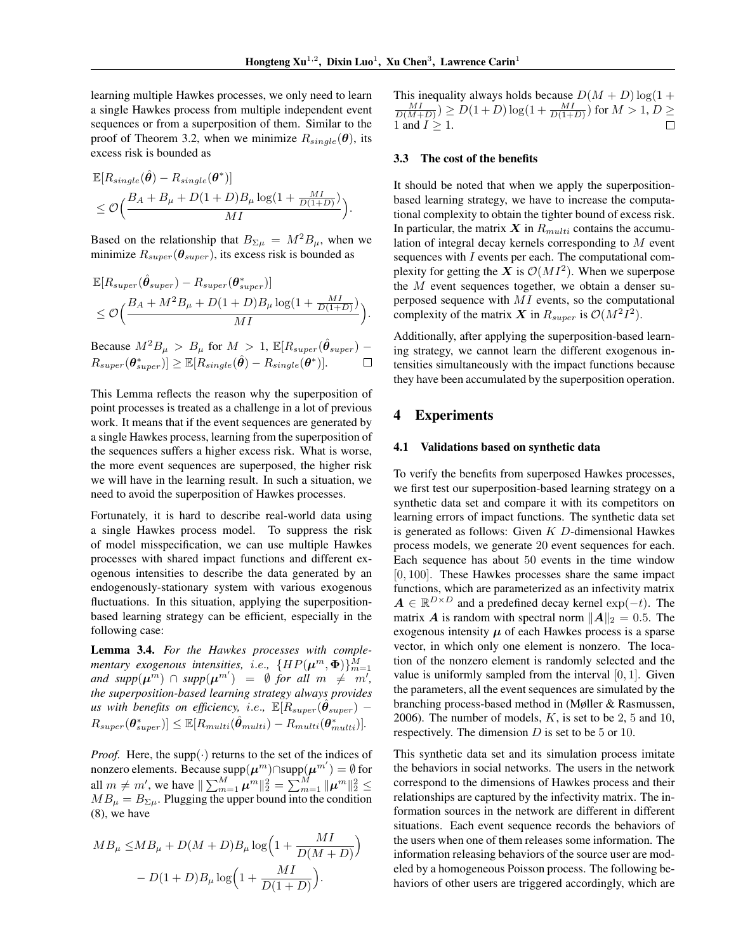learning multiple Hawkes processes, we only need to learn a single Hawkes process from multiple independent event sequences or from a superposition of them. Similar to the proof of Theorem 3.2, when we minimize  $R_{single}(\theta)$ , its excess risk is bounded as

$$
\mathbb{E}[R_{single}(\hat{\theta}) - R_{single}(\theta^*)]
$$
  
\n
$$
\leq \mathcal{O}\Big(\frac{B_A + B_\mu + D(1+D)B_\mu \log(1 + \frac{MI}{D(1+D)})}{MI}\Big).
$$

Based on the relationship that  $B_{\Sigma\mu} = M^2 B_\mu$ , when we minimize  $R_{super}(\theta_{super})$ , its excess risk is bounded as

$$
\mathbb{E}[R_{super}(\hat{\theta}_{super}) - R_{super}(\theta_{super}^{*})]
$$
  
\n
$$
\leq \mathcal{O}\Big(\frac{B_A + M^2 B_{\mu} + D(1+D)B_{\mu}\log(1+\frac{MI}{D(1+D)})}{MI}\Big).
$$

Because  $M^2B_\mu > B_\mu$  for  $M > 1$ ,  $\mathbb{E}[R_{super}(\hat{\theta}_{super}) R_{super}(\boldsymbol{\theta}_{super}^{*})] \geq \mathbb{E}[R_{single}(\hat{\boldsymbol{\theta}})-R_{single}(\boldsymbol{\theta}^{*})].$  $\Box$ 

This Lemma reflects the reason why the superposition of point processes is treated as a challenge in a lot of previous work. It means that if the event sequences are generated by a single Hawkes process, learning from the superposition of the sequences suffers a higher excess risk. What is worse, the more event sequences are superposed, the higher risk we will have in the learning result. In such a situation, we need to avoid the superposition of Hawkes processes.

Fortunately, it is hard to describe real-world data using a single Hawkes process model. To suppress the risk of model misspecification, we can use multiple Hawkes processes with shared impact functions and different exogenous intensities to describe the data generated by an endogenously-stationary system with various exogenous fluctuations. In this situation, applying the superpositionbased learning strategy can be efficient, especially in the following case:

Lemma 3.4. *For the Hawkes processes with complementary exogenous intensities, i.e.,*  $\{HP(\boldsymbol{\mu}^m, \boldsymbol{\Phi})\}_{m=1}^M$  $and \ supp(\mu^m) \cap supp(\mu^{m'}) = \emptyset$  *for all*  $m \neq m'$ , *the superposition-based learning strategy always provides*  $u$ s with benefits on efficiency, i.e.,  $\mathbb{E}[R_{super}(\hat{\boldsymbol{\theta}}_{super}) R_{super}(\boldsymbol{\theta}_{super}^{*})] \leq \mathbb{E}[R_{multi}(\hat{\boldsymbol{\theta}}_{multi}) - R_{multi}(\boldsymbol{\theta}_{multi}^{*})].$ 

*Proof.* Here, the supp( $\cdot$ ) returns to the set of the indices of nonzero elements. Because supp $(\mu^m)$ ∩supp $(\mu^{m'}) = \emptyset$  for all  $m \neq m'$ , we have  $\|\sum_{m=1}^{M} \boldsymbol{\mu}^m\|_2^2 = \sum_{m=1}^{M} \|\boldsymbol{\mu}^m\|_2^2 \leq$  $MB_{\mu} = B_{\Sigma\mu}$ . Plugging the upper bound into the condition (8), we have

$$
MB_{\mu} \le MB_{\mu} + D(M+D)B_{\mu} \log \left(1 + \frac{MI}{D(M+D)}\right)
$$

$$
- D(1+D)B_{\mu} \log \left(1 + \frac{MI}{D(1+D)}\right).
$$

This inequality always holds because  $D(M + D) \log(1 +$  $\frac{MI}{D(M+D)})\geq D(1+D)\log(1+\frac{MI}{D(1+D)})$  for  $M>1,$   $D\geq$ 1 and  $I \geq 1$ .  $\Box$ 

#### 3.3 The cost of the benefits

It should be noted that when we apply the superpositionbased learning strategy, we have to increase the computational complexity to obtain the tighter bound of excess risk. In particular, the matrix  $X$  in  $R_{multi}$  contains the accumulation of integral decay kernels corresponding to M event sequences with I events per each. The computational complexity for getting the X is  $\mathcal{O}(MI^2)$ . When we superpose the M event sequences together, we obtain a denser superposed sequence with MI events, so the computational complexity of the matrix X in  $R_{super}$  is  $\mathcal{O}(M^2I^2)$ .

Additionally, after applying the superposition-based learning strategy, we cannot learn the different exogenous intensities simultaneously with the impact functions because they have been accumulated by the superposition operation.

## 4 Experiments

#### 4.1 Validations based on synthetic data

To verify the benefits from superposed Hawkes processes, we first test our superposition-based learning strategy on a synthetic data set and compare it with its competitors on learning errors of impact functions. The synthetic data set is generated as follows: Given  $K$   $D$ -dimensional Hawkes process models, we generate 20 event sequences for each. Each sequence has about 50 events in the time window [0, 100]. These Hawkes processes share the same impact functions, which are parameterized as an infectivity matrix  $A \in \mathbb{R}^{D \times D}$  and a predefined decay kernel  $\exp(-t)$ . The matrix A is random with spectral norm  $||A||_2 = 0.5$ . The exogenous intensity  $\mu$  of each Hawkes process is a sparse vector, in which only one element is nonzero. The location of the nonzero element is randomly selected and the value is uniformly sampled from the interval  $[0, 1]$ . Given the parameters, all the event sequences are simulated by the branching process-based method in (Møller & Rasmussen, 2006). The number of models,  $K$ , is set to be 2, 5 and 10, respectively. The dimension  $D$  is set to be 5 or 10.

This synthetic data set and its simulation process imitate the behaviors in social networks. The users in the network correspond to the dimensions of Hawkes process and their relationships are captured by the infectivity matrix. The information sources in the network are different in different situations. Each event sequence records the behaviors of the users when one of them releases some information. The information releasing behaviors of the source user are modeled by a homogeneous Poisson process. The following behaviors of other users are triggered accordingly, which are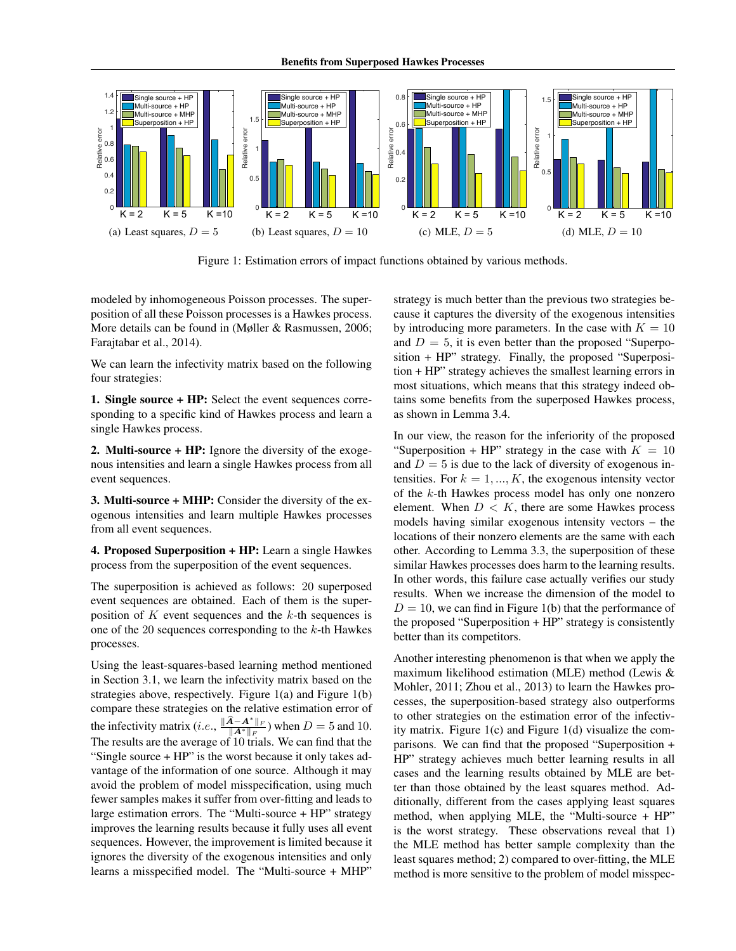

Figure 1: Estimation errors of impact functions obtained by various methods.

modeled by inhomogeneous Poisson processes. The superposition of all these Poisson processes is a Hawkes process. More details can be found in (Møller & Rasmussen, 2006; Farajtabar et al., 2014).

We can learn the infectivity matrix based on the following four strategies:

1. Single source + HP: Select the event sequences corresponding to a specific kind of Hawkes process and learn a single Hawkes process.

2. Multi-source + HP: Ignore the diversity of the exogenous intensities and learn a single Hawkes process from all event sequences.

3. Multi-source + MHP: Consider the diversity of the exogenous intensities and learn multiple Hawkes processes from all event sequences.

4. Proposed Superposition + HP: Learn a single Hawkes process from the superposition of the event sequences.

The superposition is achieved as follows: 20 superposed event sequences are obtained. Each of them is the superposition of  $K$  event sequences and the  $k$ -th sequences is one of the 20 sequences corresponding to the  $k$ -th Hawkes processes.

Using the least-squares-based learning method mentioned in Section 3.1, we learn the infectivity matrix based on the strategies above, respectively. Figure 1(a) and Figure 1(b) compare these strategies on the relative estimation error of the infectivity matrix (*i.e.*,  $\frac{\|\hat{A} - A^*\|_F}{\|A^*\|_F}$ ) when  $D = 5$  and 10. The results are the average of  $10$  trials. We can find that the "Single source + HP" is the worst because it only takes advantage of the information of one source. Although it may avoid the problem of model misspecification, using much fewer samples makes it suffer from over-fitting and leads to large estimation errors. The "Multi-source + HP" strategy improves the learning results because it fully uses all event sequences. However, the improvement is limited because it ignores the diversity of the exogenous intensities and only learns a misspecified model. The "Multi-source + MHP"

strategy is much better than the previous two strategies because it captures the diversity of the exogenous intensities by introducing more parameters. In the case with  $K = 10$ and  $D = 5$ , it is even better than the proposed "Superposition + HP" strategy. Finally, the proposed "Superposition + HP" strategy achieves the smallest learning errors in most situations, which means that this strategy indeed obtains some benefits from the superposed Hawkes process, as shown in Lemma 3.4.

In our view, the reason for the inferiority of the proposed "Superposition + HP" strategy in the case with  $K = 10$ and  $D = 5$  is due to the lack of diversity of exogenous intensities. For  $k = 1, ..., K$ , the exogenous intensity vector of the k-th Hawkes process model has only one nonzero element. When  $D < K$ , there are some Hawkes process models having similar exogenous intensity vectors – the locations of their nonzero elements are the same with each other. According to Lemma 3.3, the superposition of these similar Hawkes processes does harm to the learning results. In other words, this failure case actually verifies our study results. When we increase the dimension of the model to  $D = 10$ , we can find in Figure 1(b) that the performance of the proposed "Superposition + HP" strategy is consistently better than its competitors.

Another interesting phenomenon is that when we apply the maximum likelihood estimation (MLE) method (Lewis & Mohler, 2011; Zhou et al., 2013) to learn the Hawkes processes, the superposition-based strategy also outperforms to other strategies on the estimation error of the infectivity matrix. Figure 1(c) and Figure 1(d) visualize the comparisons. We can find that the proposed "Superposition + HP" strategy achieves much better learning results in all cases and the learning results obtained by MLE are better than those obtained by the least squares method. Additionally, different from the cases applying least squares method, when applying MLE, the "Multi-source + HP" is the worst strategy. These observations reveal that 1) the MLE method has better sample complexity than the least squares method; 2) compared to over-fitting, the MLE method is more sensitive to the problem of model misspec-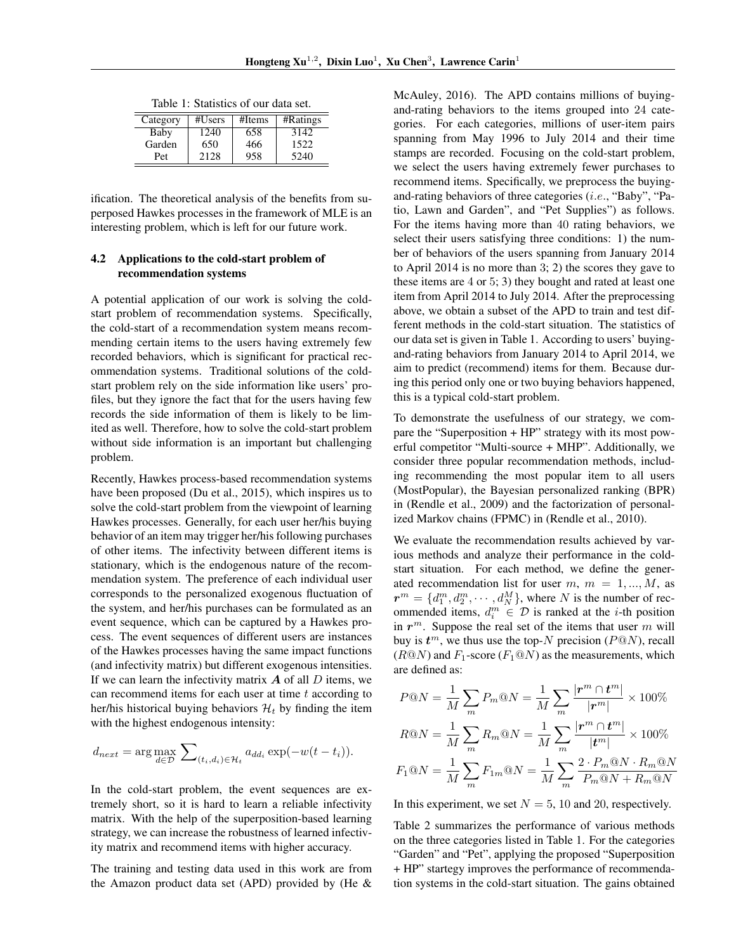| Category | #Users | #Items | #Ratings |
|----------|--------|--------|----------|
| Baby     | 1240   | 658    | 3142     |
| Garden   | 650    | 466    | 1522     |
| Pet      | 2128   | 958    | 5240     |

Table 1: Statistics of our data set.

ification. The theoretical analysis of the benefits from superposed Hawkes processes in the framework of MLE is an interesting problem, which is left for our future work.

### 4.2 Applications to the cold-start problem of recommendation systems

A potential application of our work is solving the coldstart problem of recommendation systems. Specifically, the cold-start of a recommendation system means recommending certain items to the users having extremely few recorded behaviors, which is significant for practical recommendation systems. Traditional solutions of the coldstart problem rely on the side information like users' profiles, but they ignore the fact that for the users having few records the side information of them is likely to be limited as well. Therefore, how to solve the cold-start problem without side information is an important but challenging problem.

Recently, Hawkes process-based recommendation systems have been proposed (Du et al., 2015), which inspires us to solve the cold-start problem from the viewpoint of learning Hawkes processes. Generally, for each user her/his buying behavior of an item may trigger her/his following purchases of other items. The infectivity between different items is stationary, which is the endogenous nature of the recommendation system. The preference of each individual user corresponds to the personalized exogenous fluctuation of the system, and her/his purchases can be formulated as an event sequence, which can be captured by a Hawkes process. The event sequences of different users are instances of the Hawkes processes having the same impact functions (and infectivity matrix) but different exogenous intensities. If we can learn the infectivity matrix  $\boldsymbol{A}$  of all  $\boldsymbol{D}$  items, we can recommend items for each user at time  $t$  according to her/his historical buying behaviors  $\mathcal{H}_t$  by finding the item with the highest endogenous intensity:

$$
d_{next} = \arg \max_{d \in \mathcal{D}} \sum_{(t_i, d_i) \in \mathcal{H}_t} a_{dd_i} \exp(-w(t - t_i)).
$$

In the cold-start problem, the event sequences are extremely short, so it is hard to learn a reliable infectivity matrix. With the help of the superposition-based learning strategy, we can increase the robustness of learned infectivity matrix and recommend items with higher accuracy.

The training and testing data used in this work are from the Amazon product data set (APD) provided by (He & McAuley, 2016). The APD contains millions of buyingand-rating behaviors to the items grouped into 24 categories. For each categories, millions of user-item pairs spanning from May 1996 to July 2014 and their time stamps are recorded. Focusing on the cold-start problem, we select the users having extremely fewer purchases to recommend items. Specifically, we preprocess the buyingand-rating behaviors of three categories (i.e., "Baby", "Patio, Lawn and Garden", and "Pet Supplies") as follows. For the items having more than 40 rating behaviors, we select their users satisfying three conditions: 1) the number of behaviors of the users spanning from January 2014 to April 2014 is no more than 3; 2) the scores they gave to these items are 4 or 5; 3) they bought and rated at least one item from April 2014 to July 2014. After the preprocessing above, we obtain a subset of the APD to train and test different methods in the cold-start situation. The statistics of our data set is given in Table 1. According to users' buyingand-rating behaviors from January 2014 to April 2014, we aim to predict (recommend) items for them. Because during this period only one or two buying behaviors happened, this is a typical cold-start problem.

To demonstrate the usefulness of our strategy, we compare the "Superposition + HP" strategy with its most powerful competitor "Multi-source + MHP". Additionally, we consider three popular recommendation methods, including recommending the most popular item to all users (MostPopular), the Bayesian personalized ranking (BPR) in (Rendle et al., 2009) and the factorization of personalized Markov chains (FPMC) in (Rendle et al., 2010).

We evaluate the recommendation results achieved by various methods and analyze their performance in the coldstart situation. For each method, we define the generated recommendation list for user  $m, m = 1, ..., M$ , as  $r^m = \{d_1^m, d_2^m, \cdots, d_N^M\}$ , where N is the number of recommended items,  $d_i^m \in \mathcal{D}$  is ranked at the *i*-th position in  $r^m$ . Suppose the real set of the items that user m will buy is  $t^m$ , we thus use the top-N precision ( $P@N$ ), recall  $(R@N)$  and  $F_1$ -score  $(F_1@N)$  as the measurements, which are defined as:

$$
P@N = \frac{1}{M} \sum_{m} P_m @N = \frac{1}{M} \sum_{m} \frac{|\mathbf{r}^m \cap \mathbf{t}^m|}{|\mathbf{r}^m|} \times 100\%
$$

$$
R@N = \frac{1}{M} \sum_{m} R_{m}@N = \frac{1}{M} \sum_{m} \frac{|\mathbf{r}^{m} \cap \mathbf{t}^{m}|}{|\mathbf{t}^{m}|} \times 100\%
$$

$$
F_{1}@N = \frac{1}{M} \sum_{m} F_{1m}@N = \frac{1}{M} \sum_{m} \frac{2 \cdot P_{m}@N \cdot R_{m}@N}{P_{m}@N + R_{m}@N}
$$

In this experiment, we set  $N = 5$ , 10 and 20, respectively.

Table 2 summarizes the performance of various methods on the three categories listed in Table 1. For the categories "Garden" and "Pet", applying the proposed "Superposition + HP" startegy improves the performance of recommendation systems in the cold-start situation. The gains obtained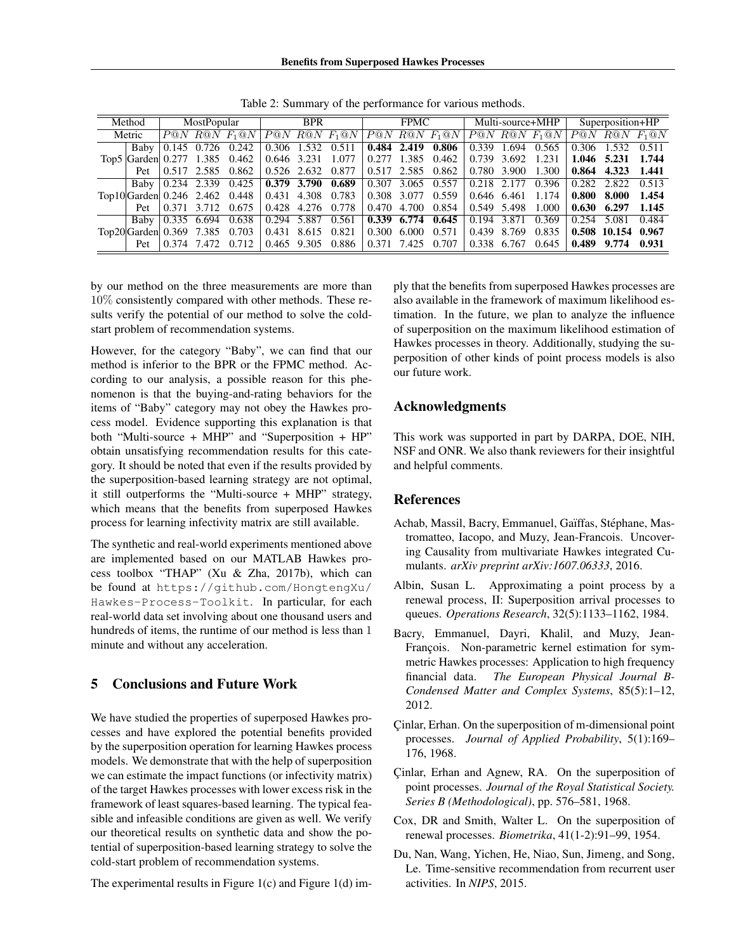| Method |                       | MostPopular        |             | <b>BPR</b>                     |             | <b>FPMC</b> |                              | Multi-source+MHP |             |               | Superposition+HP |       |                     |       |                     |       |
|--------|-----------------------|--------------------|-------------|--------------------------------|-------------|-------------|------------------------------|------------------|-------------|---------------|------------------|-------|---------------------|-------|---------------------|-------|
| Metric |                       |                    |             | $P@N$ RQN $F_1@N$              |             |             | $\overline{P@N}$ R@N $F_1@N$ | P@N              |             | $R@N$ $F_1@N$ |                  |       | $P@N$ $R@N$ $F_1@N$ |       | $P@N$ $R@N$ $F_1@N$ |       |
|        | Baby                  |                    | 0.145 0.726 | 0.242                          | 0.306 1.532 |             | 0.511                        |                  | 0.484 2.419 | 0.806         | 0.339            | 1.694 | 0.565               | 0.306 |                     |       |
|        |                       |                    |             | Top5 Garden 0.277 1.385 0.462  | 0.646 3.231 |             | 1.077                        |                  | 0.277 1.385 | 0.462         | 0.739            | 3.692 | 1.231               |       | 1.046 5.231         | 1.744 |
|        | Pet                   |                    |             | $0.517$ 2.585 0.862            | 0.526 2.632 |             | 0.877                        |                  | 0.517 2.585 | 0.862         | 0.780            | 3.900 | 1.300               | 0.864 | 4.323               | 1.441 |
|        |                       | Baby   0.234 2.339 |             | 0.425                          | 0.379 3.790 |             | 0.689                        | 0.307            | 3.065       | 0.557         | 0.218            | 2.177 | 0.396               | 0.282 | 2.822               | 0.513 |
|        |                       |                    |             | Top10 Garden 0.246 2.462 0.448 |             |             | 0.431 4.308 0.783            | 0.308 3.077      |             | 0.559         | 0.646 6.461      |       | 1.174               | 0.800 | 8.000               | 1.454 |
|        | Pet                   |                    |             | 0.371 3.712 0.675              | 0.428 4.276 |             | 0.778                        | 0.470            | 4.700       | 0.854         | 0.549            | 5.498 | 1.000               | 0.630 | 6.297               | 1.145 |
|        | Baby                  | 0.335              | 6.694       | 0.638                          | 0.294 5.887 |             | 0.561                        |                  | 0.339 6.774 | 0.645         | 0.194            | 3.871 | 0.369               | 0.254 | 5.081               | 0.484 |
|        | $Top20 Garden $ 0.369 |                    |             | 7.385 0.703                    |             |             | 0.431 8.615 0.821            | 0.300            | 6.000       | 0.571         | 0.439            | 8.769 | 0.835               |       | 0.508 10.154        | 0.967 |
|        | Pet                   |                    | 0.374 7.472 | 0.712                          | 0.465 9.305 |             | 0.886                        | 0.371            | 7.425       | 0.707         | 0.338            | 6.767 | 0.645               | 0.489 | 9.774               | 0.931 |

Table 2: Summary of the performance for various methods.

by our method on the three measurements are more than 10% consistently compared with other methods. These results verify the potential of our method to solve the coldstart problem of recommendation systems.

However, for the category "Baby", we can find that our method is inferior to the BPR or the FPMC method. According to our analysis, a possible reason for this phenomenon is that the buying-and-rating behaviors for the items of "Baby" category may not obey the Hawkes process model. Evidence supporting this explanation is that both "Multi-source + MHP" and "Superposition + HP" obtain unsatisfying recommendation results for this category. It should be noted that even if the results provided by the superposition-based learning strategy are not optimal, it still outperforms the "Multi-source + MHP" strategy, which means that the benefits from superposed Hawkes process for learning infectivity matrix are still available.

The synthetic and real-world experiments mentioned above are implemented based on our MATLAB Hawkes process toolbox "THAP" (Xu & Zha, 2017b), which can be found at https://github.com/HongtengXu/ Hawkes-Process-Toolkit. In particular, for each real-world data set involving about one thousand users and hundreds of items, the runtime of our method is less than 1 minute and without any acceleration.

# 5 Conclusions and Future Work

We have studied the properties of superposed Hawkes processes and have explored the potential benefits provided by the superposition operation for learning Hawkes process models. We demonstrate that with the help of superposition we can estimate the impact functions (or infectivity matrix) of the target Hawkes processes with lower excess risk in the framework of least squares-based learning. The typical feasible and infeasible conditions are given as well. We verify our theoretical results on synthetic data and show the potential of superposition-based learning strategy to solve the cold-start problem of recommendation systems.

The experimental results in Figure 1(c) and Figure 1(d) im-

ply that the benefits from superposed Hawkes processes are also available in the framework of maximum likelihood estimation. In the future, we plan to analyze the influence of superposition on the maximum likelihood estimation of Hawkes processes in theory. Additionally, studying the superposition of other kinds of point process models is also our future work.

# Acknowledgments

This work was supported in part by DARPA, DOE, NIH, NSF and ONR. We also thank reviewers for their insightful and helpful comments.

### References

- Achab, Massil, Bacry, Emmanuel, Gaïffas, Stéphane, Mastromatteo, Iacopo, and Muzy, Jean-Francois. Uncovering Causality from multivariate Hawkes integrated Cumulants. *arXiv preprint arXiv:1607.06333*, 2016.
- Albin, Susan L. Approximating a point process by a renewal process, II: Superposition arrival processes to queues. *Operations Research*, 32(5):1133–1162, 1984.
- Bacry, Emmanuel, Dayri, Khalil, and Muzy, Jean-François. Non-parametric kernel estimation for symmetric Hawkes processes: Application to high frequency financial data. *The European Physical Journal B-Condensed Matter and Complex Systems*, 85(5):1–12, 2012.
- Çinlar, Erhan. On the superposition of m-dimensional point processes. *Journal of Applied Probability*, 5(1):169– 176, 1968.
- Cinlar, Erhan and Agnew, RA. On the superposition of point processes. *Journal of the Royal Statistical Society. Series B (Methodological)*, pp. 576–581, 1968.
- Cox, DR and Smith, Walter L. On the superposition of renewal processes. *Biometrika*, 41(1-2):91–99, 1954.
- Du, Nan, Wang, Yichen, He, Niao, Sun, Jimeng, and Song, Le. Time-sensitive recommendation from recurrent user activities. In *NIPS*, 2015.